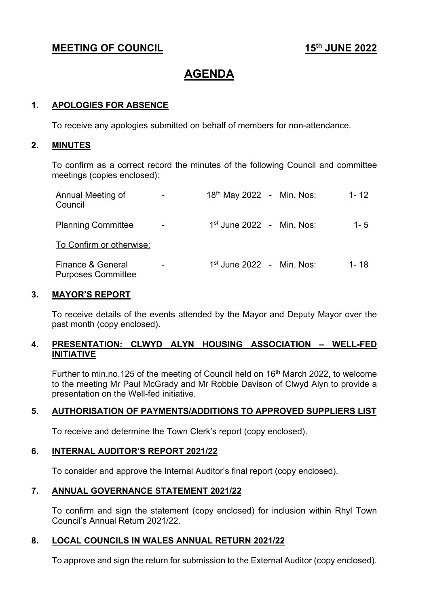## **MEETING OF COUNCIL** 15<sup>th</sup> JUNE 2022

# **AGENDA**

#### **1. APOLOGIES FOR ABSENCE**

To receive any apologies submitted on behalf of members for non-attendance.

#### **2. MINUTES**

To confirm as a correct record the minutes of the following Council and committee meetings (copies enclosed):

| Annual Meeting of<br>Council                   | 18 <sup>th</sup> May 2022 - Min. Nos: |  | $1 - 12$ |
|------------------------------------------------|---------------------------------------|--|----------|
| <b>Planning Committee</b>                      | $1st$ June 2022 - Min. Nos:           |  | 1 - $5$  |
| To Confirm or otherwise:                       |                                       |  |          |
| Finance & General<br><b>Purposes Committee</b> | $1st$ June 2022 - Min. Nos:           |  | 1- 18    |

#### **3. MAYOR'S REPORT**

To receive details of the events attended by the Mayor and Deputy Mayor over the past month (copy enclosed).

### **4. PRESENTATION: CLWYD ALYN HOUSING ASSOCIATION – WELL-FED INITIATIVE**

Further to min.no.125 of the meeting of Council held on 16<sup>th</sup> March 2022, to welcome to the meeting Mr Paul McGrady and Mr Robbie Davison of Clwyd Alyn to provide a presentation on the Well-fed initiative.

#### **5. AUTHORISATION OF PAYMENTS/ADDITIONS TO APPROVED SUPPLIERS LIST**

To receive and determine the Town Clerk's report (copy enclosed).

#### **6. INTERNAL AUDITOR'S REPORT 2021/22**

To consider and approve the Internal Auditor's final report (copy enclosed).

#### **7. ANNUAL GOVERNANCE STATEMENT 2021/22**

To confirm and sign the statement (copy enclosed) for inclusion within Rhyl Town Council's Annual Return 2021/22.

#### **8. LOCAL COUNCILS IN WALES ANNUAL RETURN 2021/22**

To approve and sign the return for submission to the External Auditor (copy enclosed).